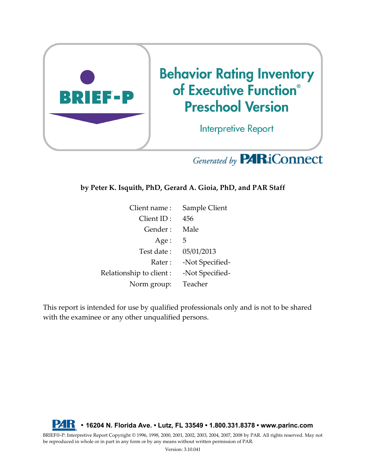

# Generated by **PARiConnect**

**by Peter K. Isquith, PhD, Gerard A. Gioia, PhD, and PAR Staff**

| Client name:             | Sample Client   |
|--------------------------|-----------------|
| Client ID:               | 456             |
| Gender:                  | Male            |
| Age:                     | 5               |
| Test date:               | 05/01/2013      |
| Rater:                   | -Not Specified- |
| Relationship to client : | -Not Specified- |
| Norm group:              | Teacher         |

This report is intended for use by qualified professionals only and is not to be shared with the examinee or any other unqualified persons.



BRIEF®-P: Interpretive Report Copyright © 1996, 1998, 2000, 2001, 2002, 2003, 2004, 2007, 2008 by PAR. All rights reserved. May not be reproduced in whole or in part in any form or by any means without written permission of PAR.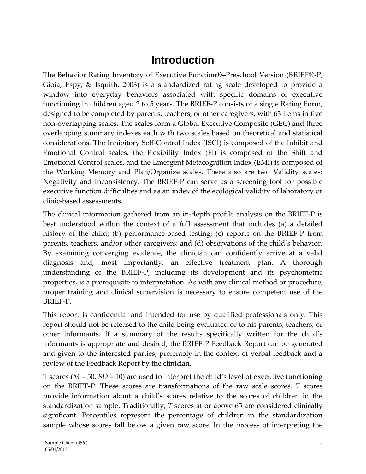## **Introduction**

The Behavior Rating Inventory of Executive Function®–Preschool Version (BRIEF®-P; Gioia, Espy, & Isquith, 2003) is a standardized rating scale developed to provide a window into everyday behaviors associated with specific domains of executive functioning in children aged 2 to 5 years. The BRIEF-P consists of a single Rating Form, designed to be completed by parents, teachers, or other caregivers, with 63 items in five non-overlapping scales. The scales form a Global Executive Composite (GEC) and three overlapping summary indexes each with two scales based on theoretical and statistical considerations. The Inhibitory Self-Control Index (ISCI) is composed of the Inhibit and Emotional Control scales, the Flexibility Index (FI) is composed of the Shift and Emotional Control scales, and the Emergent Metacognition Index (EMI) is composed of the Working Memory and Plan/Organize scales. There also are two Validity scales: Negativity and Inconsistency. The BRIEF-P can serve as a screening tool for possible executive function difficulties and as an index of the ecological validity of laboratory or clinic-based assessments.

The clinical information gathered from an in-depth profile analysis on the BRIEF-P is best understood within the context of a full assessment that includes (a) a detailed history of the child; (b) performance-based testing; (c) reports on the BRIEF-P from parents, teachers, and/or other caregivers; and (d) observations of the child's behavior. By examining converging evidence, the clinician can confidently arrive at a valid diagnosis and, most importantly, an effective treatment plan. A thorough understanding of the BRIEF-P, including its development and its psychometric properties, is a prerequisite to interpretation. As with any clinical method or procedure, proper training and clinical supervision is necessary to ensure competent use of the BRIEF-P.

This report is confidential and intended for use by qualified professionals only. This report should not be released to the child being evaluated or to his parents, teachers, or other informants. If a summary of the results specifically written for the child's informants is appropriate and desired, the BRIEF-P Feedback Report can be generated and given to the interested parties, preferably in the context of verbal feedback and a review of the Feedback Report by the clinician.

T scores (*M* = 50, *SD* = 10) are used to interpret the child's level of executive functioning on the BRIEF-P. These scores are transformations of the raw scale scores. *T* scores provide information about a child's scores relative to the scores of children in the standardization sample. Traditionally, *T* scores at or above 65 are considered clinically significant. Percentiles represent the percentage of children in the standardization sample whose scores fall below a given raw score. In the process of interpreting the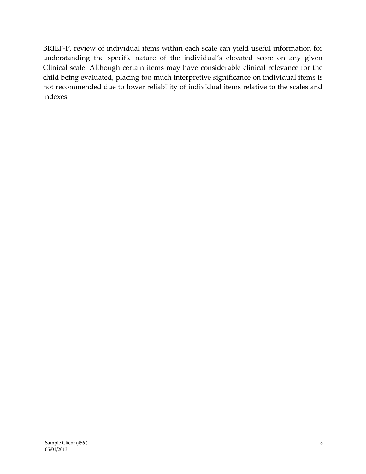BRIEF-P, review of individual items within each scale can yield useful information for understanding the specific nature of the individual's elevated score on any given Clinical scale. Although certain items may have considerable clinical relevance for the child being evaluated, placing too much interpretive significance on individual items is not recommended due to lower reliability of individual items relative to the scales and indexes.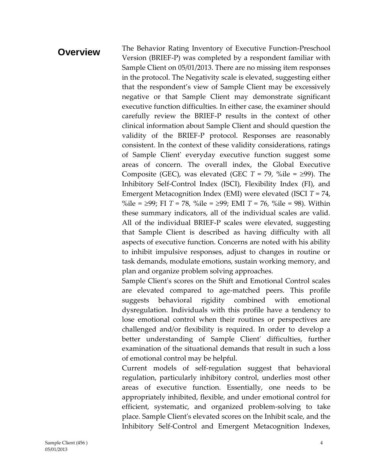#### **Overview** The Behavior Rating Inventory of Executive Function-Preschool Version (BRIEF-P) was completed by a respondent familiar with Sample Client on 05/01/2013. There are no missing item responses in the protocol. The Negativity scale is elevated, suggesting either that the respondent's view of Sample Client may be excessively negative or that Sample Client may demonstrate significant executive function difficulties. In either case, the examiner should carefully review the BRIEF-P results in the context of other clinical information about Sample Client and should question the validity of the BRIEF-P protocol. Responses are reasonably consistent. In the context of these validity considerations, ratings of Sample Client' everyday executive function suggest some areas of concern. The overall index, the Global Executive Composite (GEC), was elevated (GEC  $T = 79$ , %ile =  $\geq$ 99). The Inhibitory Self-Control Index (ISCI), Flexibility Index (FI), and Emergent Metacognition Index (EMI) were elevated (ISCI *T* = 74, %ile =  $\geq$ 99; FI *T* = 78, %ile =  $\geq$ 99; EMI *T* = 76, %ile = 98). Within these summary indicators, all of the individual scales are valid. All of the individual BRIEF-P scales were elevated, suggesting that Sample Client is described as having difficulty with all aspects of executive function. Concerns are noted with his ability to inhibit impulsive responses, adjust to changes in routine or task demands, modulate emotions, sustain working memory, and plan and organize problem solving approaches.

Sample Client's scores on the Shift and Emotional Control scales are elevated compared to age-matched peers. This profile suggests behavioral rigidity combined with emotional dysregulation. Individuals with this profile have a tendency to lose emotional control when their routines or perspectives are challenged and/or flexibility is required. In order to develop a better understanding of Sample Client' difficulties, further examination of the situational demands that result in such a loss of emotional control may be helpful.

Current models of self-regulation suggest that behavioral regulation, particularly inhibitory control, underlies most other areas of executive function. Essentially, one needs to be appropriately inhibited, flexible, and under emotional control for efficient, systematic, and organized problem-solving to take place. Sample Client's elevated scores on the Inhibit scale, and the Inhibitory Self-Control and Emergent Metacognition Indexes,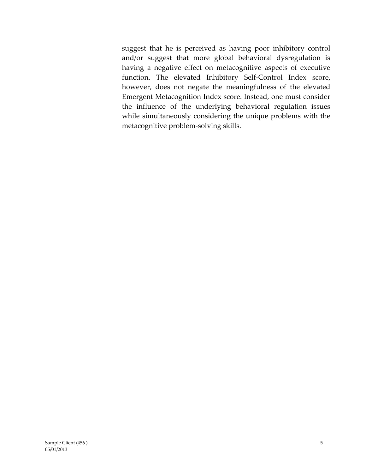suggest that he is perceived as having poor inhibitory control and/or suggest that more global behavioral dysregulation is having a negative effect on metacognitive aspects of executive function. The elevated Inhibitory Self-Control Index score, however, does not negate the meaningfulness of the elevated Emergent Metacognition Index score. Instead, one must consider the influence of the underlying behavioral regulation issues while simultaneously considering the unique problems with the metacognitive problem-solving skills.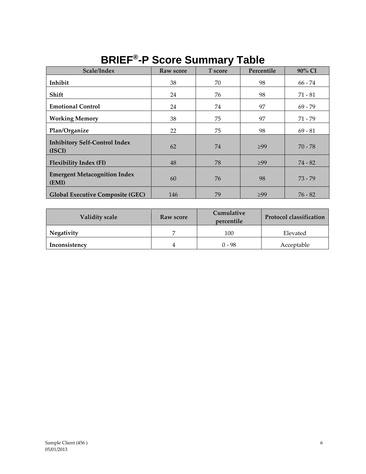| Scale/Index                                    | Raw score | ▰<br>T score | Percentile | 90% CI    |
|------------------------------------------------|-----------|--------------|------------|-----------|
| Inhibit                                        | 38        | 70           | 98         | 66 - 74   |
| Shift                                          | 24        | 76           | 98         | $71 - 81$ |
| <b>Emotional Control</b>                       | 24        | 74           | 97         | $69 - 79$ |
| <b>Working Memory</b>                          | 38        | 75           | 97         | 71 - 79   |
| Plan/Organize                                  | 22        | 75           | 98         | $69 - 81$ |
| <b>Inhibitory Self-Control Index</b><br>(ISCI) | 62        | 74           | $\geq 99$  | $70 - 78$ |
| <b>Flexibility Index (FI)</b>                  | 48        | 78           | $\geq 99$  | $74 - 82$ |
| <b>Emergent Metacognition Index</b><br>(EMI)   | 60        | 76           | 98         | $73 - 79$ |
| <b>Global Executive Composite (GEC)</b>        | 146       | 79           | $\geq 99$  | $76 - 82$ |

### **BRIEF® -P Score Summary Table**

| <b>Validity scale</b> | Raw score | Cumulative<br>percentile | <b>Protocol classification</b> |
|-----------------------|-----------|--------------------------|--------------------------------|
| Negativity            |           | 100                      | Elevated                       |
| Inconsistency         |           | ი - 98                   | Acceptable                     |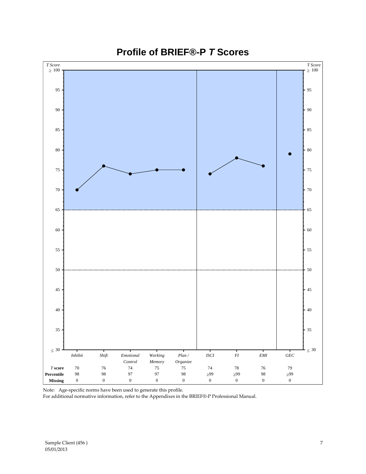

### **Profile of BRIEF®-P** *T* **Scores**

Note: Age-specific norms have been used to generate this profile.

For additional normative information, refer to the Appendixes in the BRIEF®-P Professional Manual.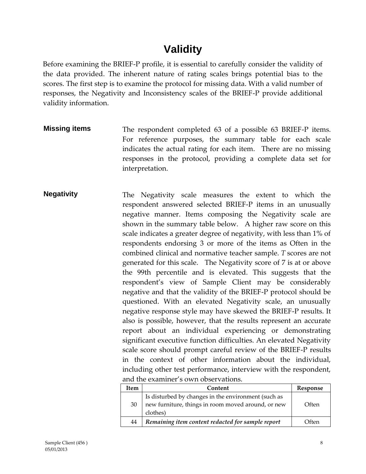# **Validity**

Before examining the BRIEF-P profile, it is essential to carefully consider the validity of the data provided. The inherent nature of rating scales brings potential bias to the scores. The first step is to examine the protocol for missing data. With a valid number of responses, the Negativity and Inconsistency scales of the BRIEF-P provide additional validity information.

- **Missing items** The respondent completed 63 of a possible 63 BRIEF-P items. For reference purposes, the summary table for each scale indicates the actual rating for each item. There are no missing responses in the protocol, providing a complete data set for interpretation.
- **Negativity** The Negativity scale measures the extent to which the respondent answered selected BRIEF-P items in an unusually negative manner. Items composing the Negativity scale are shown in the summary table below. A higher raw score on this scale indicates a greater degree of negativity, with less than 1% of respondents endorsing 3 or more of the items as Often in the combined clinical and normative teacher sample. *T* scores are not generated for this scale. The Negativity score of 7 is at or above the 99th percentile and is elevated. This suggests that the respondent's view of Sample Client may be considerably negative and that the validity of the BRIEF-P protocol should be questioned. With an elevated Negativity scale, an unusually negative response style may have skewed the BRIEF-P results. It also is possible, however, that the results represent an accurate report about an individual experiencing or demonstrating significant executive function difficulties. An elevated Negativity scale score should prompt careful review of the BRIEF-P results in the context of other information about the individual, including other test performance, interview with the respondent, and the examiner's own observations.

| Item | Content                                                                                                               | Response |
|------|-----------------------------------------------------------------------------------------------------------------------|----------|
| 30   | Is disturbed by changes in the environment (such as<br>new furniture, things in room moved around, or new<br>clothes) | Often    |
| 44   | Remaining item content redacted for sample report                                                                     | Often    |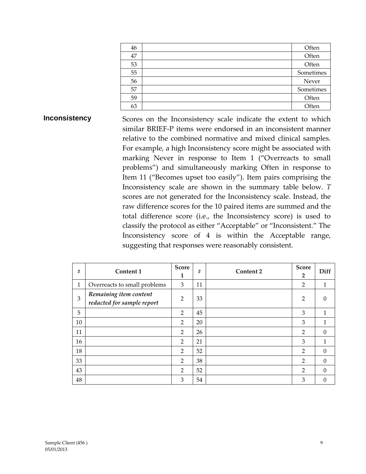| 46 | Often     |
|----|-----------|
| 47 | Often     |
| 53 | Often     |
| 55 | Sometimes |
| 56 | Never     |
| 57 | Sometimes |
| 59 | Often     |
| 63 | Often     |

**Inconsistency** Scores on the Inconsistency scale indicate the extent to which similar BRIEF-P items were endorsed in an inconsistent manner relative to the combined normative and mixed clinical samples. For example, a high Inconsistency score might be associated with marking Never in response to Item 1 ("Overreacts to small problems") and simultaneously marking Often in response to Item 11 ("Becomes upset too easily"). Item pairs comprising the Inconsistency scale are shown in the summary table below. *T*  scores are not generated for the Inconsistency scale. Instead, the raw difference scores for the 10 paired items are summed and the total difference score (i.e., the Inconsistency score) is used to classify the protocol as either "Acceptable" or "Inconsistent." The Inconsistency score of 4 is within the Acceptable range, suggesting that responses were reasonably consistent.

| #  | Content 1                                            | <b>Score</b><br>1 | $\#$ | Content 2 | <b>Score</b><br>$\overline{2}$ | Diff     |
|----|------------------------------------------------------|-------------------|------|-----------|--------------------------------|----------|
| 1  | Overreacts to small problems                         | 3                 | 11   |           | $\overline{2}$                 | 1        |
| 3  | Remaining item content<br>redacted for sample report | $\overline{2}$    | 33   |           | $\overline{2}$                 | $\theta$ |
| 5  |                                                      | 2                 | 45   |           | 3                              | 1        |
| 10 |                                                      | 2                 | 20   |           | 3                              | 1        |
| 11 |                                                      | $\overline{2}$    | 26   |           | $\overline{2}$                 | $\Omega$ |
| 16 |                                                      | $\overline{2}$    | 21   |           | 3                              | 1        |
| 18 |                                                      | $\overline{2}$    | 52   |           | 2                              | $\Omega$ |
| 33 |                                                      | $\overline{2}$    | 38   |           | 2                              | $\Omega$ |
| 43 |                                                      | $\overline{2}$    | 52   |           | $\overline{2}$                 | $\Omega$ |
| 48 |                                                      | 3                 | 54   |           | 3                              | $\Omega$ |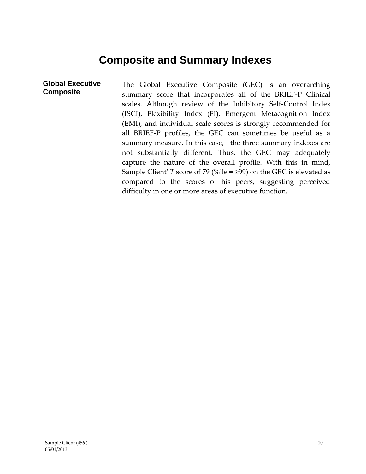### **Composite and Summary Indexes**

**Global Executive Composite** The Global Executive Composite (GEC) is an overarching summary score that incorporates all of the BRIEF-P Clinical scales. Although review of the Inhibitory Self-Control Index (ISCI), Flexibility Index (FI), Emergent Metacognition Index (EMI), and individual scale scores is strongly recommended for all BRIEF-P profiles, the GEC can sometimes be useful as a summary measure. In this case, the three summary indexes are not substantially different. Thus, the GEC may adequately capture the nature of the overall profile. With this in mind, Sample Client' *T* score of 79 (%ile =  $\geq$ 99) on the GEC is elevated as compared to the scores of his peers, suggesting perceived difficulty in one or more areas of executive function.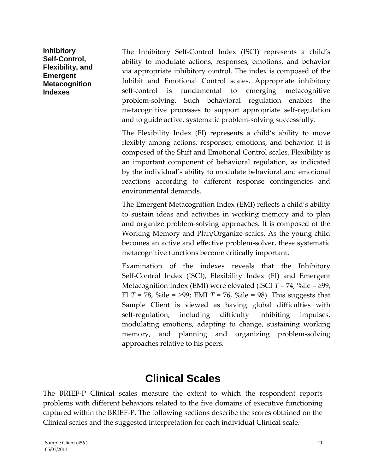**Inhibitory Self-Control, Flexibility, and Emergent Metacognition Indexes**

The Inhibitory Self-Control Index (ISCI) represents a child's ability to modulate actions, responses, emotions, and behavior via appropriate inhibitory control. The index is composed of the Inhibit and Emotional Control scales. Appropriate inhibitory self-control is fundamental to emerging metacognitive problem-solving. Such behavioral regulation enables the metacognitive processes to support appropriate self-regulation and to guide active, systematic problem-solving successfully.

The Flexibility Index (FI) represents a child's ability to move flexibly among actions, responses, emotions, and behavior. It is composed of the Shift and Emotional Control scales. Flexibility is an important component of behavioral regulation, as indicated by the individual's ability to modulate behavioral and emotional reactions according to different response contingencies and environmental demands.

The Emergent Metacognition Index (EMI) reflects a child's ability to sustain ideas and activities in working memory and to plan and organize problem-solving approaches. It is composed of the Working Memory and Plan/Organize scales. As the young child becomes an active and effective problem-solver, these systematic metacognitive functions become critically important.

Examination of the indexes reveals that the Inhibitory Self-Control Index (ISCI), Flexibility Index (FI) and Emergent Metacognition Index (EMI) were elevated (ISCI  $T = 74$ , %ile =  $\geq 99$ ; FI *T* = 78, %ile =  $\geq$ 99; EMI *T* = 76, %ile = 98). This suggests that Sample Client is viewed as having global difficulties with self-regulation, including difficulty inhibiting impulses, modulating emotions, adapting to change, sustaining working memory, and planning and organizing problem-solving approaches relative to his peers.

### **Clinical Scales**

The BRIEF-P Clinical scales measure the extent to which the respondent reports problems with different behaviors related to the five domains of executive functioning captured within the BRIEF-P. The following sections describe the scores obtained on the Clinical scales and the suggested interpretation for each individual Clinical scale.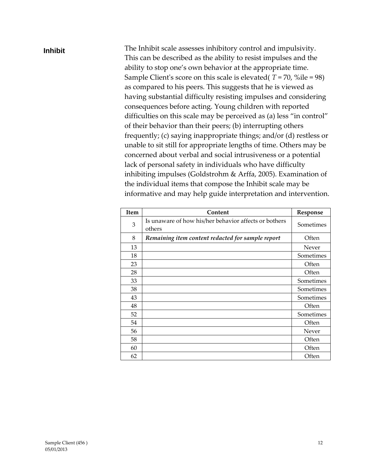#### **Inhibit** The Inhibit scale assesses inhibitory control and impulsivity. This can be described as the ability to resist impulses and the ability to stop one's own behavior at the appropriate time. Sample Client's score on this scale is elevated( *T* = 70, %ile = 98) as compared to his peers. This suggests that he is viewed as having substantial difficulty resisting impulses and considering consequences before acting. Young children with reported difficulties on this scale may be perceived as (a) less "in control" of their behavior than their peers; (b) interrupting others frequently; (c) saying inappropriate things; and/or (d) restless or unable to sit still for appropriate lengths of time. Others may be concerned about verbal and social intrusiveness or a potential lack of personal safety in individuals who have difficulty inhibiting impulses (Goldstrohm & Arffa, 2005). Examination of the individual items that compose the Inhibit scale may be informative and may help guide interpretation and intervention.

| <b>Item</b> | Content                                                         | Response  |
|-------------|-----------------------------------------------------------------|-----------|
| 3           | Is unaware of how his/her behavior affects or bothers<br>others | Sometimes |
| 8           | Remaining item content redacted for sample report               | Often     |
| 13          |                                                                 | Never     |
| 18          |                                                                 | Sometimes |
| 23          |                                                                 | Often     |
| 28          |                                                                 | Often     |
| 33          |                                                                 | Sometimes |
| 38          |                                                                 | Sometimes |
| 43          |                                                                 | Sometimes |
| 48          |                                                                 | Often     |
| 52          |                                                                 | Sometimes |
| 54          |                                                                 | Often     |
| 56          |                                                                 | Never     |
| 58          |                                                                 | Often     |
| 60          |                                                                 | Often     |
| 62          |                                                                 | Often     |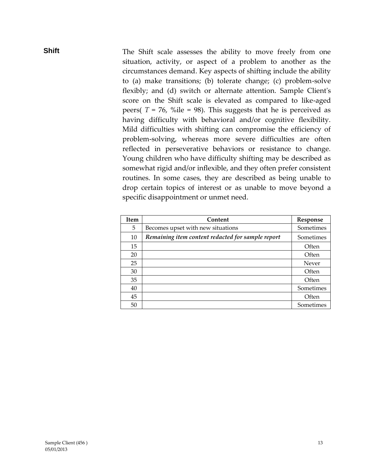**Shift** The Shift scale assesses the ability to move freely from one situation, activity, or aspect of a problem to another as the circumstances demand. Key aspects of shifting include the ability to (a) make transitions; (b) tolerate change; (c) problem-solve flexibly; and (d) switch or alternate attention. Sample Client's score on the Shift scale is elevated as compared to like-aged peers(  $T = 76$ , %ile = 98). This suggests that he is perceived as having difficulty with behavioral and/or cognitive flexibility. Mild difficulties with shifting can compromise the efficiency of problem-solving, whereas more severe difficulties are often reflected in perseverative behaviors or resistance to change. Young children who have difficulty shifting may be described as somewhat rigid and/or inflexible, and they often prefer consistent routines. In some cases, they are described as being unable to drop certain topics of interest or as unable to move beyond a specific disappointment or unmet need.

| <b>Item</b> | Content                                           | Response  |
|-------------|---------------------------------------------------|-----------|
| 5.          | Becomes upset with new situations                 | Sometimes |
| 10          | Remaining item content redacted for sample report | Sometimes |
| 15          |                                                   | Often     |
| 20          |                                                   | Often     |
| 25          |                                                   | Never     |
| 30          |                                                   | Often     |
| 35          |                                                   | Often     |
| 40          |                                                   | Sometimes |
| 45          |                                                   | Often     |
| 50          |                                                   | Sometimes |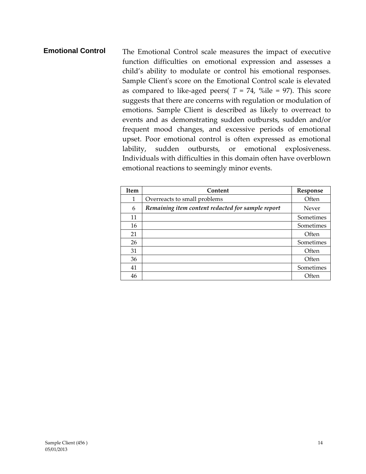#### **Emotional Control** The Emotional Control scale measures the impact of executive function difficulties on emotional expression and assesses a child's ability to modulate or control his emotional responses. Sample Client's score on the Emotional Control scale is elevated as compared to like-aged peers(  $T = 74$ , %ile = 97). This score suggests that there are concerns with regulation or modulation of emotions. Sample Client is described as likely to overreact to events and as demonstrating sudden outbursts, sudden and/or frequent mood changes, and excessive periods of emotional upset. Poor emotional control is often expressed as emotional lability, sudden outbursts, or emotional explosiveness. Individuals with difficulties in this domain often have overblown emotional reactions to seemingly minor events.

| <b>Item</b> | Content                                           | Response  |
|-------------|---------------------------------------------------|-----------|
| 1           | Overreacts to small problems                      | Often     |
| 6           | Remaining item content redacted for sample report | Never     |
| 11          |                                                   | Sometimes |
| 16          |                                                   | Sometimes |
| 21          |                                                   | Often     |
| 26          |                                                   | Sometimes |
| 31          |                                                   | Often     |
| 36          |                                                   | Often     |
| 41          |                                                   | Sometimes |
| 46          |                                                   | Often     |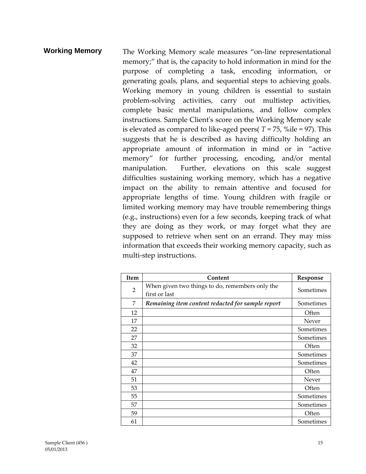**Working Memory** The Working Memory scale measures "on-line representational memory;" that is, the capacity to hold information in mind for the purpose of completing a task, encoding information, or generating goals, plans, and sequential steps to achieving goals. Working memory in young children is essential to sustain problem-solving activities, carry out multistep activities, complete basic mental manipulations, and follow complex instructions. Sample Client's score on the Working Memory scale is elevated as compared to like-aged peers( $T = 75$ , %ile = 97). This suggests that he is described as having difficulty holding an appropriate amount of information in mind or in "active memory" for further processing, encoding, and/or mental manipulation. Further, elevations on this scale suggest difficulties sustaining working memory, which has a negative impact on the ability to remain attentive and focused for appropriate lengths of time. Young children with fragile or limited working memory may have trouble remembering things (e.g., instructions) even for a few seconds, keeping track of what they are doing as they work, or may forget what they are supposed to retrieve when sent on an errand. They may miss information that exceeds their working memory capacity, such as multi-step instructions.

| Item           | Content                                                          | Response  |
|----------------|------------------------------------------------------------------|-----------|
| $\overline{2}$ | When given two things to do, remembers only the<br>first or last | Sometimes |
| 7              | Remaining item content redacted for sample report                | Sometimes |
| 12             |                                                                  | Often     |
| 17             |                                                                  | Never     |
| 22             |                                                                  | Sometimes |
| 27             |                                                                  | Sometimes |
| 32             |                                                                  | Often     |
| 37             |                                                                  | Sometimes |
| 42             |                                                                  | Sometimes |
| 47             |                                                                  | Often     |
| 51             |                                                                  | Never     |
| 53             |                                                                  | Often     |
| 55             |                                                                  | Sometimes |
| 57             |                                                                  | Sometimes |
| 59             |                                                                  | Often     |
| 61             |                                                                  | Sometimes |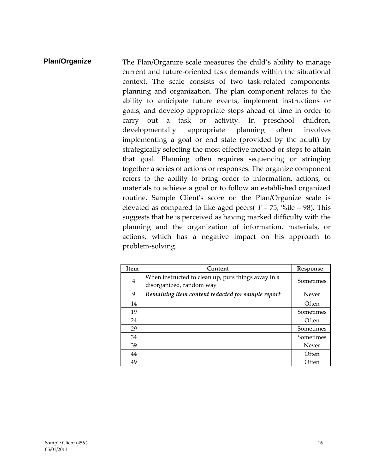**Plan/Organize** The Plan/Organize scale measures the child's ability to manage current and future-oriented task demands within the situational context. The scale consists of two task-related components: planning and organization. The plan component relates to the ability to anticipate future events, implement instructions or goals, and develop appropriate steps ahead of time in order to carry out a task or activity. In preschool children, developmentally appropriate planning often involves implementing a goal or end state (provided by the adult) by strategically selecting the most effective method or steps to attain that goal. Planning often requires sequencing or stringing together a series of actions or responses. The organize component refers to the ability to bring order to information, actions, or materials to achieve a goal or to follow an established organized routine. Sample Client's score on the Plan/Organize scale is elevated as compared to like-aged peers( $T = 75$ , %ile = 98). This suggests that he is perceived as having marked difficulty with the planning and the organization of information, materials, or actions, which has a negative impact on his approach to problem-solving.

| <b>Item</b>    | Content                                                                        | Response  |
|----------------|--------------------------------------------------------------------------------|-----------|
| $\overline{4}$ | When instructed to clean up, puts things away in a<br>disorganized, random way | Sometimes |
| 9              | Remaining item content redacted for sample report                              | Never     |
| 14             |                                                                                | Often     |
| 19             |                                                                                | Sometimes |
| 24             |                                                                                | Often     |
| 29             |                                                                                | Sometimes |
| 34             |                                                                                | Sometimes |
| 39             |                                                                                | Never     |
| 44             |                                                                                | Often     |
| 49             |                                                                                | Often     |